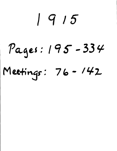### **1915**

# **Nei : 19 i - 33 it**

## Meetings: 76-142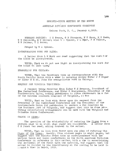### SEVENTY-SIXTH MEETING OF THE NORTH

### AMERICAN DIVISION CONFERENCE COMMITTEE

### Takoma Park, D. C., January 4,1915.

MEMBERS PRESENT: I H Evans, G B Thompson, W T Knox, M E Kern, W W Prescott, H W Miller; also W A Spicer, J L Shaw, F M Wilcox, E R Palmer, T E Bowen.

Prayer by W A Spicer.

 $\zeta$  .

### INCORPORATING WORK FOR BLIND:

A letter from  $L$  M Muck was read suggesting that the work for the blind be incorporated.

VOTED, That we do not see light in incorporating the work for the blind at this time/

### EVANGELIST FOR CHICAGO:

VOTED, That the Secretary take up correspondence with the North Pacific Union with a view to securing either Elder J F Piper or Elder M H St. John for evangelistic work in Chicago.

### REQUEST FOR VIRGINIA TERRITORY:

A request being received from Elder W H Branson, President of the Cumberland Conference, and Elder 0 Montgomery, President of the Southeastern Union, asking permission to place canvassers in a few of the extreme southern counties of Virginia, it was

VOTED, That we look with favor upon the request from the President of the Cumberland Conference and the President of the Southeastern Union for permission to canvass a few counties in the Southern part of Virginia, and suggest that this be done  $pr \circ r$ viding satisfactory arrangements can be made with the Virginia and Columbia Union Conferences.

### CHANGE IN SIGNS:

The question of the advisability of reducing the Signs from a<br>en page to an eight page paper was considered. A letter from sixteen page to an eight page paper was considered. C H Jones was read, asking counsel in the matter.

VOTED, That we look with favor upon the plan of reducing the Signs of the Times, weekly, from sixteen pages to eight pages, but suggest that the Pacific Press take up correspondence with the various Union and local conferences in the North American Division Conference in reference to this matter, with a viw to ascertaining the sentiment of the field upon the question, and suggest that the matter be decided by the constituency at the meeting to be held in M:, untain View in March, 1915.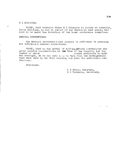### H E ROBINSON:

 $\zeta$ 

VCTED, That weadvise Elder H E Robinson to locate at Ashville, North Carolina, to act as pastor of the church at that place, his work to be under the direction of the local conference committee.

### MEDICAL CONVENTIONS:

The Medical Secretary a sked counsel in reference to planning for additional medical conventions.

VOTED, That as the matter of holdingrmdical conventions was given careful consideration at the time of the Council, and the number of which number of advisable to hold was arranged, we do not feel fits to vary from the arrangements that were made by the Fall Council, and plan for additional conventions.

Adjourned.

I H Evans, Chairman, G B Thompson, Secretary.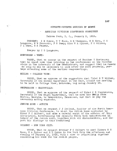### SEVENTY-SEVENTH MEETING OF NORTH

### AMERICAN DIVISION CONFERENCE COMMITTEE

Takoma Park, D. C., January 5, 1915.

PRESENT: I H Evans, W T Knox, G B Thompson, M E Kern, C S Longacre, W W Prescott, F W Paap; also W A Spicer, F M Wilcox, J L Shaw, E R Palmer.

Prayer by C S Longacre.

### $MORTENSEN ~ WEST:$

 $\frac{1}{\lambda_{\rm{N}}}\times$ 

VOTED, That we concur in the request of Brother S Mortensen that he spend some time laboring in the conferences on the Pacific slope in the interests of the Swedishwork, and suggest that he remair as long as may be necessary to look after the work properly, perhaps attending some of the earlier camp-meetings.

### MILLER - COLLEGE VIEW:

VOTED, That we approve of the suggestion that Elder B E Miller, Secretary of the German Department in the East, attend the meeting to be held in College View, Nebraska, beg nning January 19.

### STEPHENSON - GRAYSVILLE:

VOTED, That we approve of the request of Elder C B Stephenson, Secretary of the Negro Department, that he move his family from Boston, Georgia, to Graysville, Tennessee, and that we pay the necessary moving expenses.

### JEWISH HOME  $\sim$  AUDIT©

VOTED, That we request J J Ireland, Ausitor of the North American Division Conference, to visit the Jewish Home conducted by Elder F C Gilbert, and make a careful audit of the affairs of this institution, ascertaining the receipts which have beenreceived in behalf of the Jewish work, together with all disbursements, and report his findings to this Committee,

### $GILBERT ~~ NEW$  YORK CITY:

VOTED, That we request Brother F C Gilbert to meet Elders W T Knox. W  $A$  Spicer and R  $D$  Quinn in New York City the afternoon and evening of January 12, 1915, with a view to counselling together concerning his work for the Jewish people.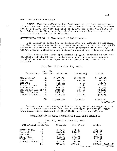### DAVID GUIDBRANDON  $-$  WAGE:

 $L^{\pm\pm}$ 

VOTED. That we authorize the Treasurer to pay the transportation of Brother David Guldbranson from Iceland to Manitoba, amounting to \$334,00, and that his wage be \$14.00 per week, this rate to be subject to further consideration when counsel has been secured from the field where he is laboring,

### COMMITTEE'S REPORT ON ADJUSTMENT OF DEPARTMENTS.

The Committee appointed to investigate the expense of maintaining the various departments now operated under the General and North American Division Conferences, and make recommendations looking toward greater efficiency and economy rendered the following report:

That during the first five months of 1913, previous to the organization of the Division Conference, there was a total expense involved in the various departments of \$14,977.97, created as follows:

Jan. 20, 1913 - June 20, 1913.

| Department        | AV.<br>Employed | No.<br>Salaries | Traveling    | Office      |
|-------------------|-----------------|-----------------|--------------|-------------|
| Educational       | 2               | 651.00          | \$<br>471.23 | \$<br>69.21 |
| Executive         | 14              | 4374.00         | 485.92       | 1095.97     |
| Medical           | 2               | 595.71          | 3.00         | 44.72       |
| Press Bureau      | 2               | 667.57          | 6.46         | 213.29      |
| Publishing        | 2               | 695.90          | 142.25       | 81.57       |
| Religious Liberty | 2               | 1010.35         | 408.11       | $302 - 83$  |
| Mis. Volunteer    | 4               | 1332,90         | 153.88       | 243.50      |
| Sabbath School    | $\overline{4}$  | 1145.40         | 210.39       | 572.81      |
|                   | 32              | 10,472,83       | 1,881.24     | 2,623,90    |
|                   |                 |                 |              | \$14.977.97 |

During the corresponding period in 1914, after the organization of the Division Conference the cost of operating the General Confe ence departments amounted to  $$11,561.37$ , created as follows:

### STATEMENT OF GENERAL CONFERENCE DEPAR'MENT EXPENSES

|                     |                | Jan. 20, 1914 - June 20, 1914 |                                              |                            |
|---------------------|----------------|-------------------------------|----------------------------------------------|----------------------------|
| Department Employed | Av. No.        | Salaries                      | Traveling                                    | Office                     |
| Educationa1         | 2              | 637.38                        | 131.11                                       | 125,38                     |
| <b>Executive</b>    | 12             | 4055,66                       | 627.18                                       | 1271.20                    |
| Medical             | 2              | 588.00                        | 5.00                                         | 53.99                      |
| Mis. Vol.           | 3              | 546.28                        | 176, 21                                      | 406.05                     |
| Publishing          | 2              | 571.84                        | 460.79                                       | 110,43                     |
| Sabbath School      | $\overline{4}$ | 972,90                        | 98,66                                        | 723.33                     |
|                     | 25             | 7372.06                       | 1498.95<br>The common contract of the common | 2690.36 11561.37<br>77.777 |

198

Decrease 3116,60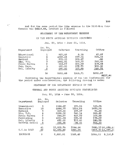And for the same period the like expense to the Division Conference was \$8517.66, created as follows:

 $\mathfrak{t}^{\mathbb{C}}$ 

STATEMENT OF THE DEPARTMENT EXPENSE

OF THE NORTH AMERICAN DIVISION CONTESWE

| Department   | Av. No.<br>Employed | Salaries | Traveling | Office  |
|--------------|---------------------|----------|-----------|---------|
| Educational  |                     | 523.49   | 8.15      | 43.87   |
| Executive    | 6                   | 1939.11  | 577.06    | 204.06  |
| Medical      | 3.                  | 275.00   | 128.87    | .66     |
| Mis. Vol.    | 3                   | 1481.81  | 169.93    | 263.89  |
| Press Bureau | 2                   | 544.27   | 400.29    | 109.65  |
| Pub. Dept.   |                     | 520.00   | 177.73    | 128,86  |
| Rel. Liberty | 2                   | 670,00   | 103.68    | 248.78  |
|              | 16                  | 5951.68  | 1565.71   | 1000.27 |

Jan, 20, 1914 - June 20, 1914.

8517.66

Combining the departmental expense of the two Conferences for the period under consideration, the following showing is made:

STATEMENT OF THE DEPARTMENT EXPENSE OF THE

GENERAL AND NORTH AMERICAN DIVISION CONFERLNCES

Jan. 20, 1914 - June 20, 1914.

| Department     | No <sub>n</sub><br>Λv.<br>Employed | Salaries  | Traveling | Office                         |
|----------------|------------------------------------|-----------|-----------|--------------------------------|
| Educational    | 3                                  | 1158.87   | 139.26    | 169.25                         |
| Executive      | 18                                 | 5994.77   | 1204.24   | 1475.26                        |
| Medical        | 3                                  | 863.00    | 133.87    | 54.65                          |
| Mis. Vol.      | 6                                  | 2028.09   | 346.14    | 669.92                         |
| Press Bureau   | $\mathbf{S}$                       | 544.27    | 400.29    | 109.65                         |
| Publishing     | 3                                  | 1091.84   | 638.52    | 239.29                         |
| Rel. Liberty   | $\mathbf{c}$                       | 670.00    | 103,68    | 248.78                         |
| Sabbath School | $\triangleq$                       | 972,90    | $-98,66$  | 723,33                         |
|                | 41                                 | 13,323,74 | 3064.66   | 3690.1320,078.5.               |
| G.C.in 1913    | $\frac{32}{5}$                     | 10,472,83 | 1881.24   | 2623.9014,977.95               |
| INCREASE       | 9                                  | 2,850.91  | 1183.42   | $5,100,$ $\bar{e}$<br>1066, 23 |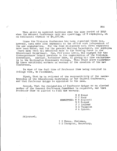This gives an apparent increase over the like period of 1913 when the General Conference only was operating, of 9 employees, at an additional expense of \$5,100.56.

Since the Division Conference has been organized there has, however, been made some expansion to the office work independent of the new organization. For the Home Missionary work three employees have been added, and for the general Mailing Department, one employee There have been two additions made to the working force in the Educational Department. One, Professor Lewis, was engaged for the Correspondence School previous to the organization of the Division.<br>Conference, Another, Prfoessor Shaw, is giving his time exclusive Another, Prfoessor Shaw, is giving his time exclusively to the Washington Missionary College. This would leave apparently three additional workers on account of the creation of the new Conference.

In view of the full time of Professor Shaw being occupied in College work, we recommend,

First, That he be relieved of the responsibility of the secretaryship of the Educational Department of the General Conference, and that Professor Griggs be appointed to the same.

Second, That the resignation of Professor Griggs as an elected member of the General Conference Committee be requested, and that Professor Shaw be elected to fill the vacancy.

> T H Evans W T Knox COMMITTEE: W W Prescott E R Palmer J J Ireland G B Thompson W A Spicer.

Adjourned.

 $\epsilon$ 

I H Evans, Chairman,

G B Thompson, Secretary.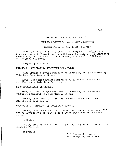### SEVENTY-EIGHTH MEETING OF NORTH

### AMERICAN DIVISION CONFERENCE COMMITTEE

Takoma Park, D. C., Janary 8,1915/

PRESENT: I H Evans, W T Knox, G B Thompson, F Griggs, W W Prescott, Mrs. L Flora Plummer, M E Kern, H W Miller, <sup>G</sup> S Longacre; also W A Spicer, F M Wilcox, C L Benson, W E Howell, T E Bowen, E R Palmer, d L Shaw.

Prayer by F M Wilcox.

### ERICKSON - MISSIONARY WOLUNTEER DEPARTMENT:

Miss Erickson having resigned as Secretary of the Missionary Volunteer Department, it was

VOTED, That Miss Matilda Erickson be listed as a member of the Missionary Volunteer Department.

### SHAW-EDUCATIONAL DEPARTMENT:

Prof. J L Shaw having resigned as Secretary of the General Conference Educational Department, it was

VOTED, That Prof. J L Shaw be listed as a member of the Educational Department.

EDUCATIONAL - MISSIONARY VOLUNTEER COUNCIL:

VOTED, That the Council of the Educational and Missionary Volunteer Dehartments be held as soon after the close of the schools as possible.

Further, $\sim$ 

VOTED, That we advise that this Council be held in the Pacific Union Conference.

Adjourned,

I H Evans, Chairman,

G B Thompson, Secretary.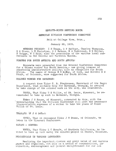### SEVENTH-NINTH MEETING NORTH

### AMERICAN DIVISION CONFERENCE COMMITTEE

Held at College View, Nebr.,

### January 20, 1915.

MEMBERS PRESENT: I H Evans, G F Haffner, Charles Thompson, 0 A Olsen, L H Christian, G F Watson, R A Underwood, B E Miller, F Griggs, W T Knox; also the presidents of the various local conferences in the Central and Northern Unions.

### WORKERS FOR SOUTH AMERICA AND SOUTH AFRICA:

Requests were presented from the General Conference Committee for a German worker for South America,- one giving promise of possessing administrative ability; also an evangelist for South Africa. The names of George R E McNay, of Iowa, and Brother R N Studt, of Colorado, were suggested for South Africa.

### COLORED WORKER FOR SAVANNAH:

مبسمع

A request from Elder C. B. Stephenson, Secretary of the Negro Department, that suitable help for Savannah, Georgia, be secured to take charge of the colored work in the city, was considered.

VOTED, That Elder U S Willis, of St. Louis, Missouri, be recommended to take up work in Savannah, Georgia.

Elder J S Rouse, of Missouri, consented to this, with the understanding that the Division Conference will meet the necessary transportation expenses of a worker to take the place of Elder Willis of St. Louis.

### TRANSFEP. OF J W OWENS:

VOTED, That we recommend Elder J W Owens, of Colorado, to labor in the Missouri Conference.

### SHEAFE - DENVER:

VOTED, That Elder L C Sheafe, of Southern California, be invited to take up work among the colored:people in Denver, Colorado.

### PERIODICALS IN VARIOUS LANGUAGES:

Realizing the important mission and great value of our various papers and magazines, not only as a medium of communication, instruction, encouragement and general enlightenment for our own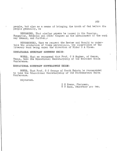people, but also as a means cf bringing the truth of God before the people generally, we

RECOMMEND, That similar papers be issued in the Russian, Hungarian, Bohemian and other tongues as the advancement of the work may demand, and further,-

RECOMMENDED, That we request the Review and Herald to undertake the production of these periodicals, the supervision of the literary work being under the direction of Elder 0 A Olsen.

### EDUCATIONAL SECRETARY SOUTHERN UNION:

VOTED, That we recommend that Prof. C B Hughes, of Keene, Texas, take the Educational Secretaryship of the Southern Union Conference.

EDUCATIONAL SECRETARY SOUTHEASTERN UNION:

VOTED, That Prof. G C George of South Dakota be recommended to take the Educational Secretaryship of the Southeastern Union Conference.

Adjourned.

I H Evans, Chairman, W T Knox, Secretary pro tem.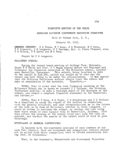### EIGHTIETH MEETING OF THE NORTH

### AMERICAN DIVISION CONFERENCE EXECUTIVE COMMITTEE

### Held at Takoma Park, D. C.,

### January 28, 1915.

MEMBERS PRESENT: I II Evans, W T Knox, G B Thompson, M E Kern, W Prescott, C S Longacre, W W Eastman, Mrs. L. Flora Plummer; also F M Wilcox, T E Bowen and N Z Town.

Prayer by C S Longacre.

### HILLCREST SCHOOL:

During the recent board meeting.at College View, Nebraska, Elder W C White and Prof. P T Magan placed before the Chairman and Treasurer the financial condition of the Hillcrest school, located near Nashville, Tennessee. This school, being involved in debt to the amount of \$18,000, advice was sought as to what was the wisest and best thing to do under the circumstances. It was agreed that the Division Conference Auditor should visit the school and<br>make an examination of the accounts. Therefore,-make an examination of the accounts.

• VOTED, That in order that the real 'financial standing of the Hillcrest School may be known we request J J Ireland, the Division Conference Auditor, to make a thorough audit of the accounts of the school, and submit a complete financial statement to the Committee, and further,--

VOTED, That W T Knox, S E Wight, C B Stephenson and J J Ireland be a Committee to study the report of the Auditor in connection with the general situation, and make recommendations as to the future of the work to be done at Hillcrest; whether in their judgment, it would be better to continue the school, or whether the work being done there could be done equally well at Huntsville, Alabama. Also what effect the closing of the school would have upon the work in general, and whether the assets of the school could be sold to good advantage.

### ATTENDANCE AT GENERAL CONVENTIONS:

In harmony with the expressed opinions of many members at our late Fall Council, that our ministers and evangelical workers should not be called from their evangelical work to attend conventions during 1915, we recommend,-

That, in the Bookmen's, Educational and Missionary Volunteer